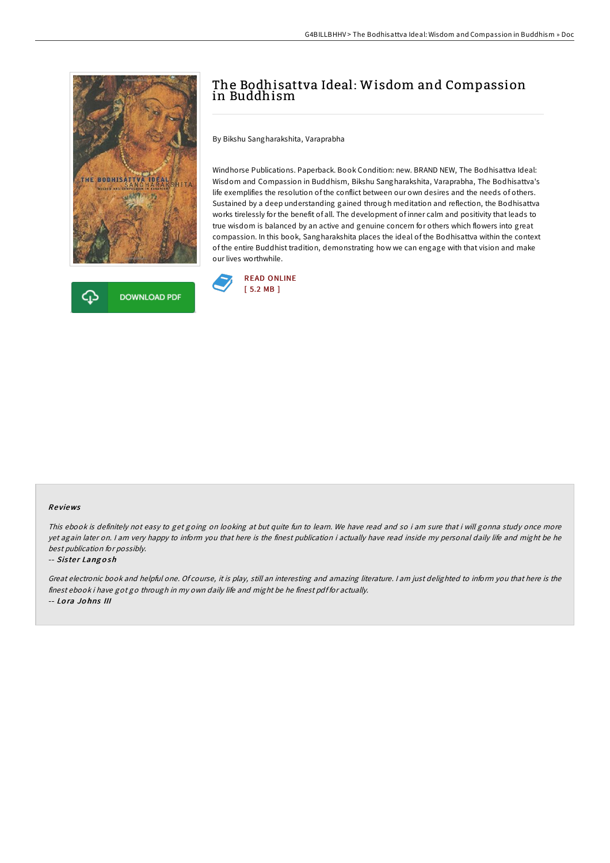



# The Bodhisattva Ideal: Wisdom and Compassion in Buddhism

By Bikshu Sangharakshita, Varaprabha

Windhorse Publications. Paperback. Book Condition: new. BRAND NEW, The Bodhisattva Ideal: Wisdom and Compassion in Buddhism, Bikshu Sangharakshita, Varaprabha, The Bodhisattva's life exemplifies the resolution of the conflict between our own desires and the needs of others. Sustained by a deep understanding gained through meditation and reflection, the Bodhisattva works tirelessly for the benefit of all. The development of inner calm and positivity that leads to true wisdom is balanced by an active and genuine concern for others which flowers into great compassion. In this book, Sangharakshita places the ideal of the Bodhisattva within the context of the entire Buddhist tradition, demonstrating how we can engage with that vision and make our lives worthwhile.



### Re views

This ebook is definitely not easy to get going on looking at but quite fun to leam. We have read and so i am sure that i will gonna study once more yet again later on. <sup>I</sup> am very happy to inform you that here is the finest publication i actually have read inside my personal daily life and might be he best publication for possibly.

#### -- Sister Langosh

Great electronic book and helpful one. Of course, it is play, still an interesting and amazing literature. <sup>I</sup> am just delighted to inform you that here is the finest ebook i have got go through in my own daily life and might be he finest pdf for actually. -- Lo ra Jo hns III